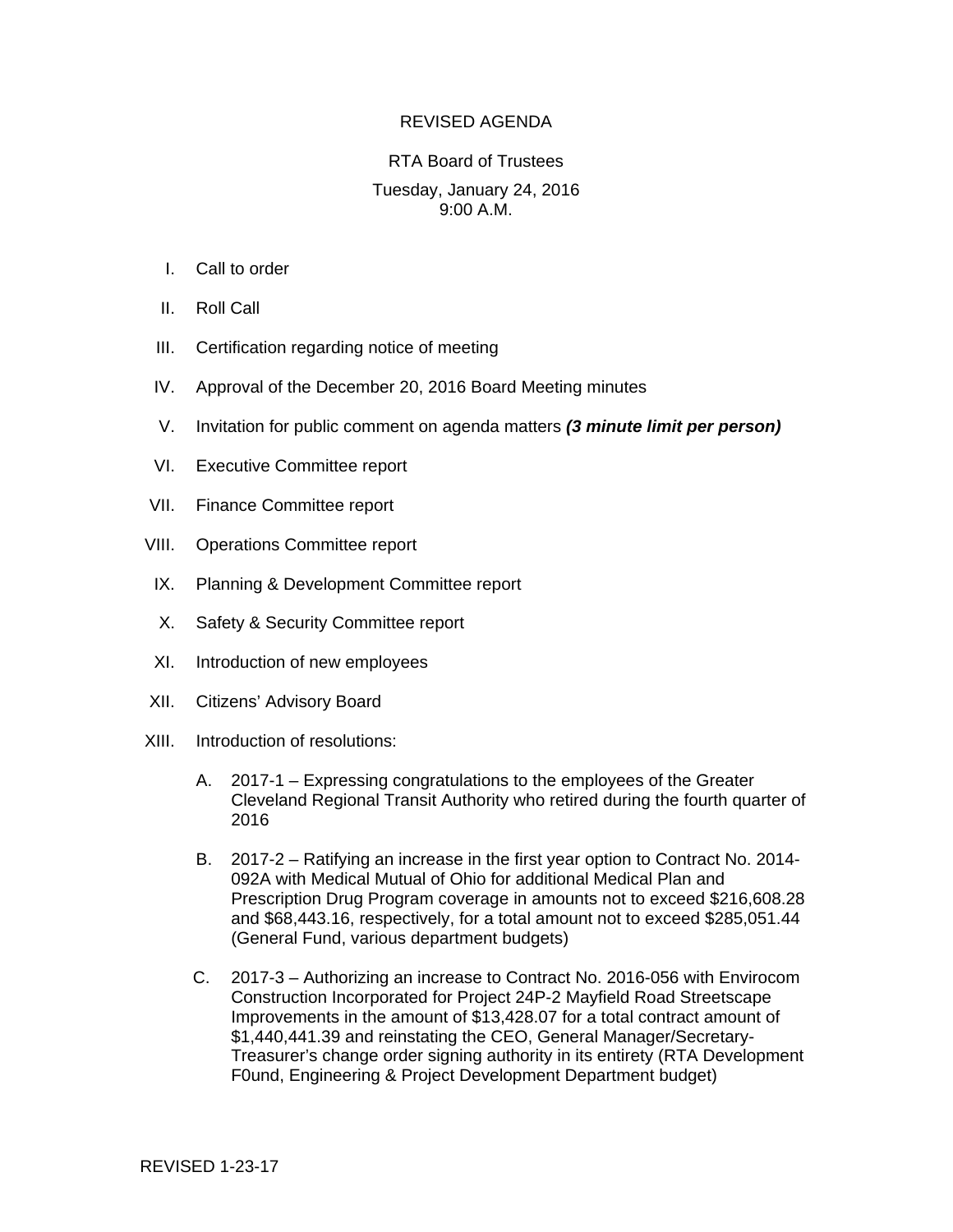## REVISED AGENDA

## RTA Board of Trustees Tuesday, January 24, 2016 9:00 A.M.

- I. Call to order
- II. Roll Call
- III. Certification regarding notice of meeting
- IV. Approval of the December 20, 2016 Board Meeting minutes
- V. Invitation for public comment on agenda matters *(3 minute limit per person)*
- VI. Executive Committee report
- VII. Finance Committee report
- VIII. Operations Committee report
- IX. Planning & Development Committee report
- X. Safety & Security Committee report
- XI. Introduction of new employees
- XII. Citizens' Advisory Board
- XIII. Introduction of resolutions:
	- A. 2017-1 Expressing congratulations to the employees of the Greater Cleveland Regional Transit Authority who retired during the fourth quarter of 2016
	- B. 2017-2 Ratifying an increase in the first year option to Contract No. 2014- 092A with Medical Mutual of Ohio for additional Medical Plan and Prescription Drug Program coverage in amounts not to exceed \$216,608.28 and \$68,443.16, respectively, for a total amount not to exceed \$285,051.44 (General Fund, various department budgets)
	- C. 2017-3 Authorizing an increase to Contract No. 2016-056 with Envirocom Construction Incorporated for Project 24P-2 Mayfield Road Streetscape Improvements in the amount of \$13,428.07 for a total contract amount of \$1,440,441.39 and reinstating the CEO, General Manager/Secretary-Treasurer's change order signing authority in its entirety (RTA Development F0und, Engineering & Project Development Department budget)